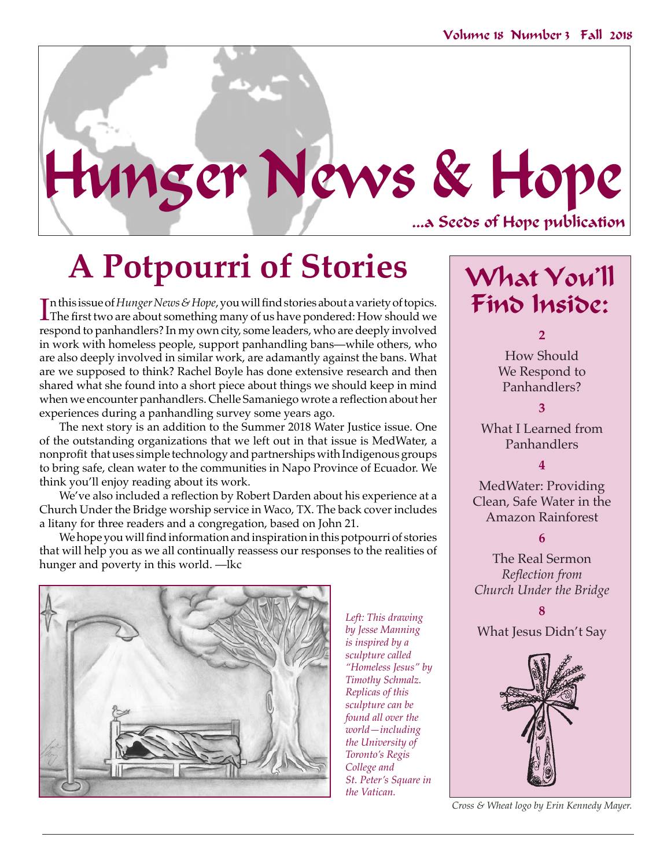

# **A Potpourri of Stories**

In this issue of *Hunger News & Hope,* you will find stories about a variety of topics.<br>The first two are about something many of us have pondered: How should we<br>were as a top well as a domain and the same is a sense had n this issue of *Hunger News & Hope*, you will find stories about a variety of topics. respond to panhandlers? In my own city, some leaders, who are deeply involved in work with homeless people, support panhandling bans—while others, who are also deeply involved in similar work, are adamantly against the bans. What are we supposed to think? Rachel Boyle has done extensive research and then shared what she found into a short piece about things we should keep in mind when we encounter panhandlers. Chelle Samaniego wrote a reflection about her experiences during a panhandling survey some years ago.

The next story is an addition to the Summer 2018 Water Justice issue. One of the outstanding organizations that we left out in that issue is MedWater, a nonprofit that uses simple technology and partnerships with Indigenous groups to bring safe, clean water to the communities in Napo Province of Ecuador. We think you'll enjoy reading about its work.

We've also included a reflection by Robert Darden about his experience at a Church Under the Bridge worship service in Waco, TX. The back cover includes a litany for three readers and a congregation, based on John 21.

We hope you will find information and inspiration in this potpourri of stories that will help you as we all continually reassess our responses to the realities of hunger and poverty in this world. —lkc



*Left: This drawing by Jesse Manning is inspired by a sculpture called "Homeless Jesus" by Timothy Schmalz. Replicas of this sculpture can be found all over the world—including the University of Toronto's Regis College and St. Peter's Square in the Vatican.* 

What You'll Find Inside:

**2**

How Should We Respond to Panhandlers?

**3** 

What I Learned from Panhandlers

**4**

MedWater: Providing Clean, Safe Water in the Amazon Rainforest

#### **6**

The Real Sermon *Reflection from Church Under the Bridge*

**8**

What Jesus Didn't Say



*Cross & Wheat logo by Erin Kennedy Mayer.*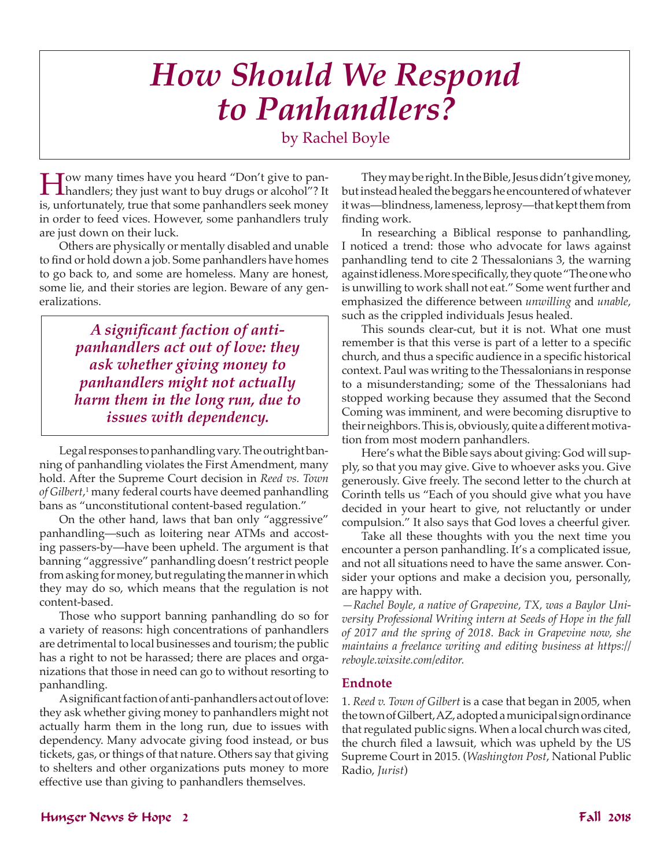## *How Should We Respond to Panhandlers?*

by Rachel Boyle

How many times have you heard "Don't give to pan-handlers; they just want to buy drugs or alcohol"? It is, unfortunately, true that some panhandlers seek money in order to feed vices. However, some panhandlers truly are just down on their luck.

Others are physically or mentally disabled and unable to find or hold down a job. Some panhandlers have homes to go back to, and some are homeless. Many are honest, some lie, and their stories are legion. Beware of any generalizations.

> *A significant faction of antipanhandlers act out of love: they ask whether giving money to panhandlers might not actually harm them in the long run, due to issues with dependency.*

Legal responses to panhandling vary. The outright banning of panhandling violates the First Amendment, many hold. After the Supreme Court decision in *Reed vs. Town of Gilbert*, 1 many federal courts have deemed panhandling bans as "unconstitutional content-based regulation."

On the other hand, laws that ban only "aggressive" panhandling—such as loitering near ATMs and accosting passers-by—have been upheld. The argument is that banning "aggressive" panhandling doesn't restrict people from asking for money, but regulating the manner in which they may do so, which means that the regulation is not content-based.

Those who support banning panhandling do so for a variety of reasons: high concentrations of panhandlers are detrimental to local businesses and tourism; the public has a right to not be harassed; there are places and organizations that those in need can go to without resorting to panhandling.

A significant faction of anti-panhandlers act out of love: they ask whether giving money to panhandlers might not actually harm them in the long run, due to issues with dependency. Many advocate giving food instead, or bus tickets, gas, or things of that nature. Others say that giving to shelters and other organizations puts money to more effective use than giving to panhandlers themselves.

They may be right. In the Bible, Jesus didn't give money, but instead healed the beggars he encountered of whatever it was—blindness, lameness, leprosy—that kept them from finding work.

In researching a Biblical response to panhandling, I noticed a trend: those who advocate for laws against panhandling tend to cite 2 Thessalonians 3, the warning against idleness. More specifically, they quote "The one who is unwilling to work shall not eat." Some went further and emphasized the difference between *unwilling* and *unable*, such as the crippled individuals Jesus healed.

This sounds clear-cut, but it is not. What one must remember is that this verse is part of a letter to a specific church, and thus a specific audience in a specific historical context. Paul was writing to the Thessalonians in response to a misunderstanding; some of the Thessalonians had stopped working because they assumed that the Second Coming was imminent, and were becoming disruptive to their neighbors. This is, obviously, quite a different motivation from most modern panhandlers.

Here's what the Bible says about giving: God will supply, so that you may give. Give to whoever asks you. Give generously. Give freely. The second letter to the church at Corinth tells us "Each of you should give what you have decided in your heart to give, not reluctantly or under compulsion." It also says that God loves a cheerful giver.

Take all these thoughts with you the next time you encounter a person panhandling. It's a complicated issue, and not all situations need to have the same answer. Consider your options and make a decision you, personally, are happy with.

*—Rachel Boyle, a native of Grapevine, TX, was a Baylor University Professional Writing intern at Seeds of Hope in the fall of 2017 and the spring of 2018. Back in Grapevine now, she maintains a freelance writing and editing business at https:// reboyle.wixsite.com/editor.* 

#### **Endnote**

1. *Reed v. Town of Gilbert* is a case that began in 2005, when the town of Gilbert, AZ, adopted a municipal sign ordinance that regulated public signs. When a local church was cited, the church filed a lawsuit, which was upheld by the US Supreme Court in 2015. (*Washington Post*, National Public Radio, *Jurist*)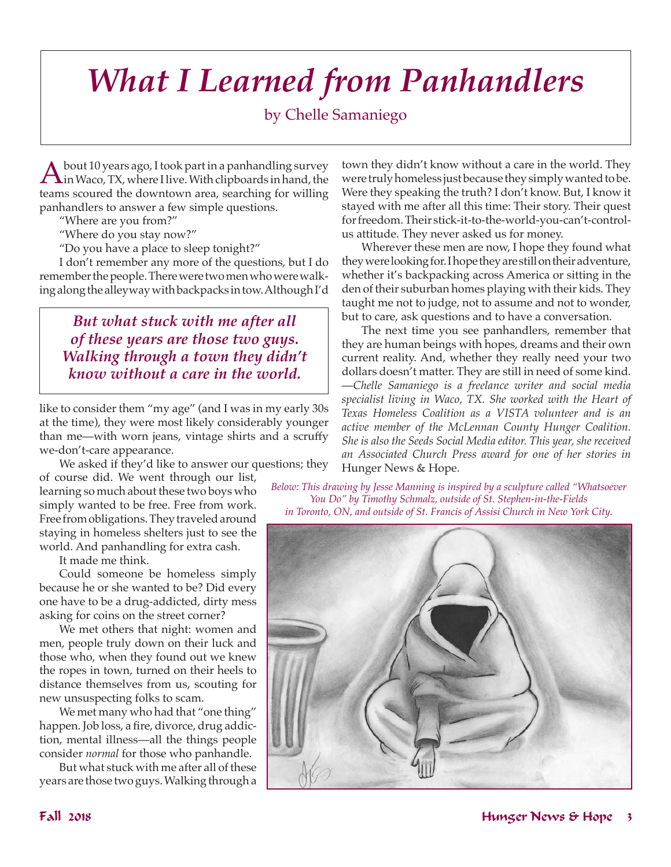# *What I Learned from Panhandlers*

### by Chelle Samaniego

A bout 10 years ago, I took part in a panhandling survey<br>in Waco, TX, where I live. With clipboards in hand, the teams scoured the downtown area, searching for willing panhandlers to answer a few simple questions.

"Where are you from?"

"Where do you stay now?"

"Do you have a place to sleep tonight?"

I don't remember any more of the questions, but I do remember the people. There were two men who were walking along the alleyway with backpacks in tow. Although I'd

*But what stuck with me after all of these years are those two guys. Walking through a town they didn't know without a care in the world.* 

like to consider them "my age" (and I was in my early 30s at the time), they were most likely considerably younger than me—with worn jeans, vintage shirts and a scruffy we-don't-care appearance.

We asked if they'd like to answer our questions; they

of course did. We went through our list, learning so much about these two boys who simply wanted to be free. Free from work. Free from obligations. They traveled around staying in homeless shelters just to see the world. And panhandling for extra cash.

It made me think.

Could someone be homeless simply because he or she wanted to be? Did every one have to be a drug-addicted, dirty mess asking for coins on the street corner?

We met others that night: women and men, people truly down on their luck and those who, when they found out we knew the ropes in town, turned on their heels to distance themselves from us, scouting for new unsuspecting folks to scam.

We met many who had that "one thing" happen. Job loss, a fire, divorce, drug addiction, mental illness—all the things people consider *normal* for those who panhandle.

But what stuck with me after all of these years are those two guys. Walking through a town they didn't know without a care in the world. They were truly homeless just because they simply wanted to be. Were they speaking the truth? I don't know. But, I know it stayed with me after all this time: Their story. Their quest for freedom. Their stick-it-to-the-world-you-can't-controlus attitude. They never asked us for money.

Wherever these men are now, I hope they found what they were looking for. I hope they are still on their adventure, whether it's backpacking across America or sitting in the den of their suburban homes playing with their kids. They taught me not to judge, not to assume and not to wonder, but to care, ask questions and to have a conversation.

The next time you see panhandlers, remember that they are human beings with hopes, dreams and their own current reality. And, whether they really need your two dollars doesn't matter. They are still in need of some kind. —*Chelle Samaniego is a freelance writer and social media specialist living in Waco, TX. She worked with the Heart of Texas Homeless Coalition as a VISTA volunteer and is an active member of the McLennan County Hunger Coalition. She is also the Seeds Social Media editor. This year, she received an Associated Church Press award for one of her stories in* Hunger News & Hope.

*Below: This drawing by Jesse Manning is inspired by a sculpture called "Whatsoever You Do" by Timothy Schmalz, outside of St. Stephen-in-the-Fields in Toronto, ON, and outside of St. Francis of Assisi Church in New York City.*

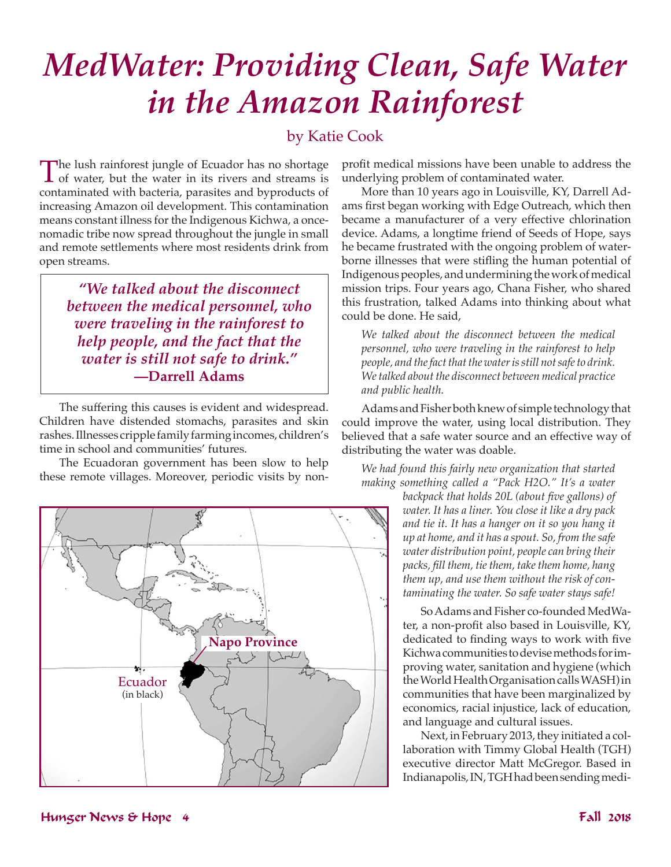## *MedWater: Providing Clean, Safe Water in the Amazon Rainforest*

### by Katie Cook

The lush rainforest jungle of Ecuador has no shortage<br>of water, but the water in its rivers and streams is<br>contaminated with hastnic granaity and huma duty of contaminated with bacteria, parasites and byproducts of increasing Amazon oil development. This contamination means constant illness for the Indigenous Kichwa, a oncenomadic tribe now spread throughout the jungle in small and remote settlements where most residents drink from open streams.

*"We talked about the disconnect between the medical personnel, who were traveling in the rainforest to help people, and the fact that the water is still not safe to drink."* **—Darrell Adams**

The suffering this causes is evident and widespread. Children have distended stomachs, parasites and skin rashes. Illnesses cripple family farming incomes, children's time in school and communities' futures.

The Ecuadoran government has been slow to help these remote villages. Moreover, periodic visits by non-



profit medical missions have been unable to address the underlying problem of contaminated water.

More than 10 years ago in Louisville, KY, Darrell Adams first began working with Edge Outreach, which then became a manufacturer of a very effective chlorination device. Adams, a longtime friend of Seeds of Hope, says he became frustrated with the ongoing problem of waterborne illnesses that were stifling the human potential of Indigenous peoples, and undermining the work of medical mission trips. Four years ago, Chana Fisher, who shared this frustration, talked Adams into thinking about what could be done. He said,

*We talked about the disconnect between the medical personnel, who were traveling in the rainforest to help people, and the fact that the water is still not safe to drink. We talked about the disconnect between medical practice and public health.*

Adams and Fisher both knew of simple technology that could improve the water, using local distribution. They believed that a safe water source and an effective way of distributing the water was doable.

*We had found this fairly new organization that started making something called a "Pack H2O." It's a water* 

*backpack that holds 20L (about five gallons) of water. It has a liner. You close it like a dry pack and tie it. It has a hanger on it so you hang it up at home, and it has a spout. So, from the safe water distribution point, people can bring their packs, fill them, tie them, take them home, hang them up, and use them without the risk of contaminating the water. So safe water stays safe!*

So Adams and Fisher co-founded MedWater, a non-profit also based in Louisville, KY, dedicated to finding ways to work with five Kichwa communities to devise methods for improving water, sanitation and hygiene (which the World Health Organisation calls WASH) in communities that have been marginalized by economics, racial injustice, lack of education, and language and cultural issues.

Next, in February 2013, they initiated a collaboration with Timmy Global Health (TGH) executive director Matt McGregor. Based in Indianapolis, IN, TGH had been sending medi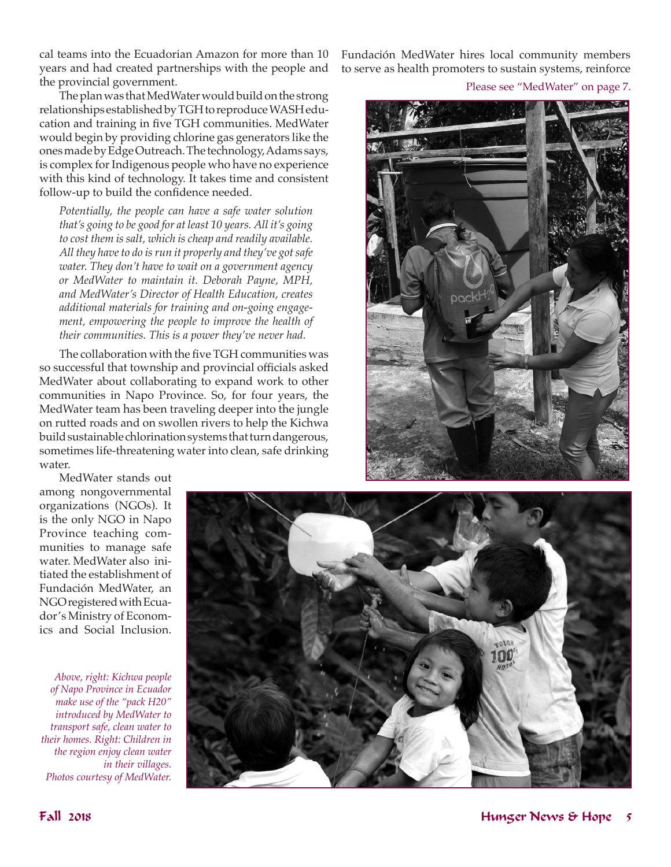cal teams into the Ecuadorian Amazon for more than 10 years and had created partnerships with the people and the provincial government.

The plan was that MedWater would build on the strong relationships established by TGH to reproduce WASH education and training in five TGH communities. MedWater would begin by providing chlorine gas generators like the ones made by Edge Outreach. The technology, Adams says, is complex for Indigenous people who have no experience with this kind of technology. It takes time and consistent follow-up to build the confidence needed.

*Potentially, the people can have a safe water solution that's going to be good for at least 10 years. All it's going to cost them is salt, which is cheap and readily available. All they have to do is run it properly and they've got safe water. They don't have to wait on a government agency or MedWater to maintain it. Deborah Payne, MPH, and MedWater's Director of Health Education, creates additional materials for training and on-going engagement, empowering the people to improve the health of their communities. This is a power they've never had.*

The collaboration with the five TGH communities was so successful that township and provincial officials asked MedWater about collaborating to expand work to other communities in Napo Province. So, for four years, the MedWater team has been traveling deeper into the jungle on rutted roads and on swollen rivers to help the Kichwa build sustainable chlorination systems that turn dangerous, sometimes life-threatening water into clean, safe drinking water.

Fundación MedWater hires local community members to serve as health promoters to sustain systems, reinforce

Please see "MedWater" on page 7.



MedWater stands out among nongovernmental organizations (NGOs). It is the only NGO in Napo Province teaching communities to manage safe water. MedWater also initiated the establishment of Fundación MedWater, an NGO registered with Ecuador's Ministry of Economics and Social Inclusion.

*Above, right: Kichwa people of Napo Province in Ecuador make use of the "pack H20" introduced by MedWater to transport safe, clean water to their homes. Right: Children in the region enjoy clean water in their villages. Photos courtesy of MedWater.* 

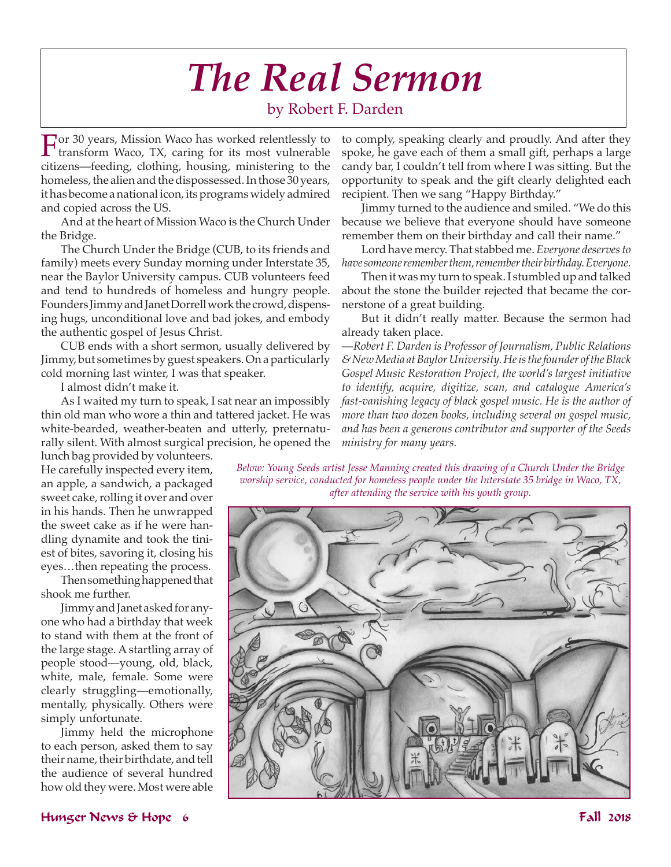# *The Real Sermon*

### by Robert F. Darden

For 30 years, Mission Waco has worked relentlessly to transform Waco, TX, caring for its most vulnerable citizens—feeding, clothing, housing, ministering to the homeless, the alien and the dispossessed. In those 30 years, it has become a national icon, its programs widely admired and copied across the US.

And at the heart of Mission Waco is the Church Under the Bridge.

The Church Under the Bridge (CUB, to its friends and family) meets every Sunday morning under Interstate 35, near the Baylor University campus. CUB volunteers feed and tend to hundreds of homeless and hungry people. Founders Jimmy and Janet Dorrell work the crowd, dispensing hugs, unconditional love and bad jokes, and embody the authentic gospel of Jesus Christ.

CUB ends with a short sermon, usually delivered by Jimmy, but sometimes by guest speakers. On a particularly cold morning last winter, I was that speaker.

I almost didn't make it.

As I waited my turn to speak, I sat near an impossibly thin old man who wore a thin and tattered jacket. He was white-bearded, weather-beaten and utterly, preternaturally silent. With almost surgical precision, he opened the to comply, speaking clearly and proudly. And after they spoke, he gave each of them a small gift, perhaps a large candy bar, I couldn't tell from where I was sitting. But the opportunity to speak and the gift clearly delighted each recipient. Then we sang "Happy Birthday."

Jimmy turned to the audience and smiled. "We do this because we believe that everyone should have someone remember them on their birthday and call their name."

Lord have mercy. That stabbed me. *Everyone deserves to have someone remember them, remember their birthday. Everyone.*

Then it was my turn to speak. I stumbled up and talked about the stone the builder rejected that became the cornerstone of a great building.

But it didn't really matter. Because the sermon had already taken place.

—*Robert F. Darden is Professor of Journalism, Public Relations & New Media at Baylor University. He is the founder of the Black Gospel Music Restoration Project, the world's largest initiative to identify, acquire, digitize, scan, and catalogue America's fast-vanishing legacy of black gospel music. He is the author of more than two dozen books, including several on gospel music, and has been a generous contributor and supporter of the Seeds ministry for many years.* 

lunch bag provided by volunteers. He carefully inspected every item, an apple, a sandwich, a packaged sweet cake, rolling it over and over in his hands. Then he unwrapped the sweet cake as if he were handling dynamite and took the tiniest of bites, savoring it, closing his eyes…then repeating the process.

Then something happened that shook me further.

Jimmy and Janet asked for anyone who had a birthday that week to stand with them at the front of the large stage. A startling array of people stood—young, old, black, white, male, female. Some were clearly struggling—emotionally, mentally, physically. Others were simply unfortunate.

Jimmy held the microphone to each person, asked them to say their name, their birthdate, and tell the audience of several hundred how old they were. Most were able *Below: Young Seeds artist Jesse Manning created this drawing of a Church Under the Bridge worship service, conducted for homeless people under the Interstate 35 bridge in Waco, TX, after attending the service with his youth group.* 



#### Hunger News & Hope 6 Fall 2018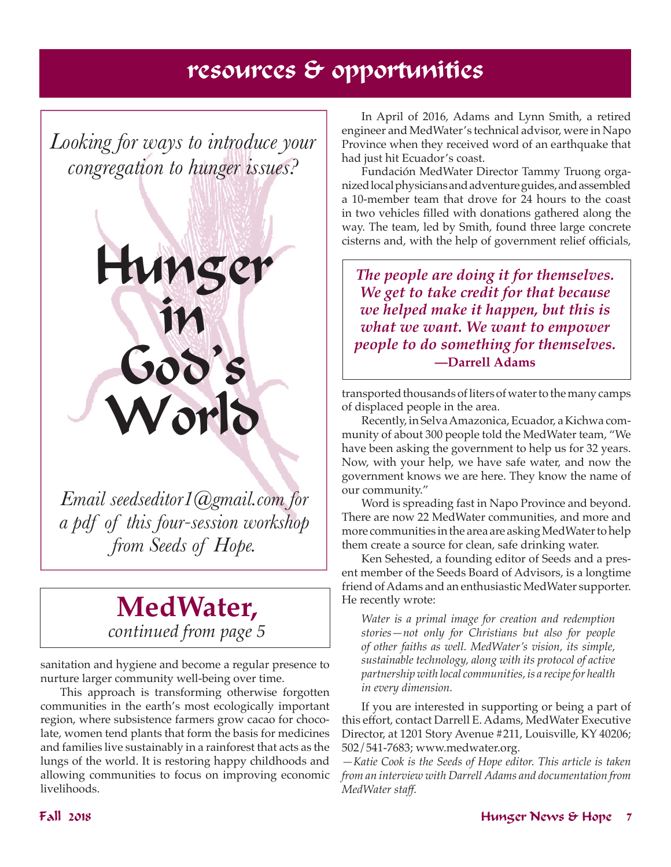### resources & opportunities

*Looking for ways to introduce your congregation to hunger issues?*



*Email seedseditor1@gmail.com for a pdf of this four-session workshop from Seeds of Hope.*

### **MedWater,**  *continued from page 5*

sanitation and hygiene and become a regular presence to nurture larger community well-being over time.

This approach is transforming otherwise forgotten communities in the earth's most ecologically important region, where subsistence farmers grow cacao for chocolate, women tend plants that form the basis for medicines and families live sustainably in a rainforest that acts as the lungs of the world. It is restoring happy childhoods and allowing communities to focus on improving economic livelihoods.

In April of 2016, Adams and Lynn Smith, a retired engineer and MedWater's technical advisor, were in Napo Province when they received word of an earthquake that had just hit Ecuador's coast.

Fundación MedWater Director Tammy Truong organized local physicians and adventure guides, and assembled a 10-member team that drove for 24 hours to the coast in two vehicles filled with donations gathered along the way. The team, led by Smith, found three large concrete cisterns and, with the help of government relief officials,

*The people are doing it for themselves. We get to take credit for that because we helped make it happen, but this is what we want. We want to empower people to do something for themselves.* **—Darrell Adams**

transported thousands of liters of water to the many camps of displaced people in the area.

Recently, in Selva Amazonica, Ecuador, a Kichwa community of about 300 people told the MedWater team, "We have been asking the government to help us for 32 years. Now, with your help, we have safe water, and now the government knows we are here. They know the name of our community."

Word is spreading fast in Napo Province and beyond. There are now 22 MedWater communities, and more and more communities in the area are asking MedWater to help them create a source for clean, safe drinking water.

Ken Sehested, a founding editor of Seeds and a present member of the Seeds Board of Advisors, is a longtime friend of Adams and an enthusiastic MedWater supporter. He recently wrote:

*Water is a primal image for creation and redemption stories—not only for Christians but also for people of other faiths as well. MedWater's vision, its simple, sustainable technology, along with its protocol of active partnership with local communities, is a recipe for health in every dimension.*

If you are interested in supporting or being a part of this effort, contact Darrell E. Adams, MedWater Executive Director, at 1201 Story Avenue #211, Louisville, KY 40206; 502/541-7683; www.medwater.org.

*—Katie Cook is the Seeds of Hope editor. This article is taken from an interview with Darrell Adams and documentation from MedWater staff.*